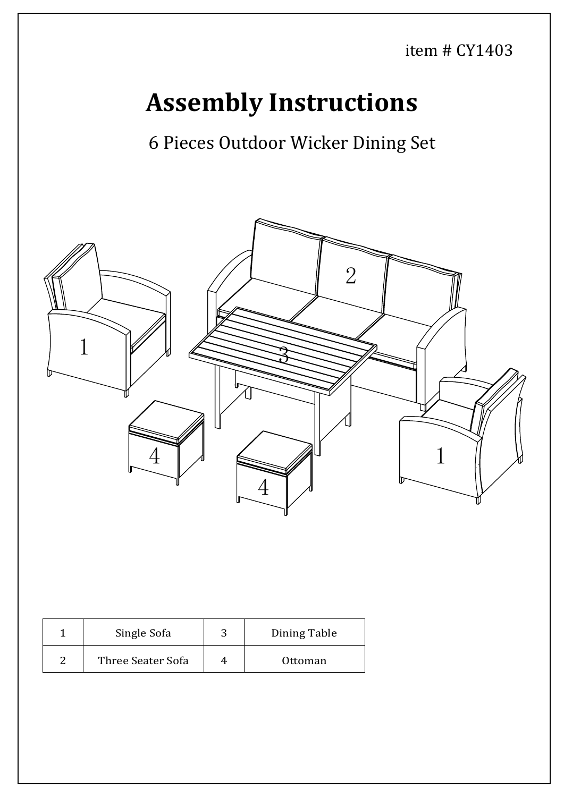item # CY1403

## **Assembly Instructions**

6 Pieces Outdoor Wicker Dining Set



| Single Sofa       | ◠ | Dining Table |
|-------------------|---|--------------|
| Three Seater Sofa |   | Ottoman      |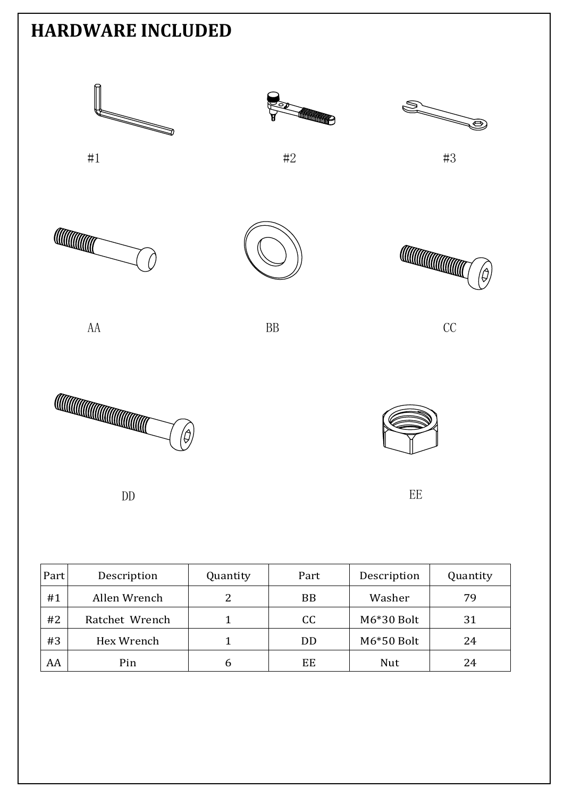

| Part | Description    | Quantity | Part      | Description  | Quantity |  |
|------|----------------|----------|-----------|--------------|----------|--|
| #1   | Allen Wrench   | 2        | <b>BB</b> | Washer       | 79       |  |
| #2   | Ratchet Wrench |          | CC        | M6*30 Bolt   | 31       |  |
| #3   | Hex Wrench     |          | DD        | $M6*50$ Bolt | 24       |  |
| AA   | Pin            | 6        | EE        | Nut          | 24       |  |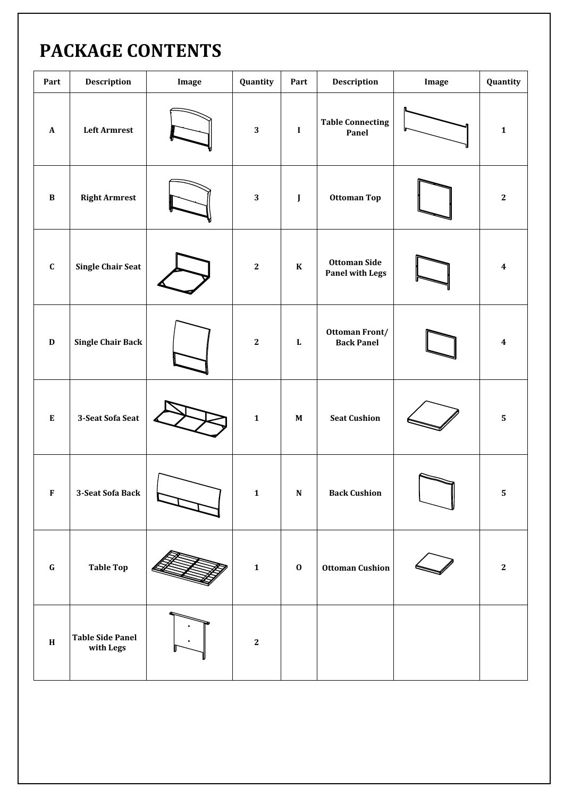## PACKAGE CONTENTS

| Part                      | <b>Description</b>                   | Image | Quantity     | Part                      | Description                                   | Image | Quantity                |
|---------------------------|--------------------------------------|-------|--------------|---------------------------|-----------------------------------------------|-------|-------------------------|
| $\boldsymbol{\mathsf{A}}$ | <b>Left Armrest</b>                  |       | $\mathbf{3}$ | $\bf{I}$                  | <b>Table Connecting</b><br>Panel              |       | $\mathbf 1$             |
| $\, {\bf B}$              | <b>Right Armrest</b>                 |       | $\mathbf{3}$ | $\mathbf{J}$              | Ottoman Top                                   |       | $\bf 2$                 |
| $\mathbf C$               | <b>Single Chair Seat</b>             |       | $\bf 2$      | $\bf K$                   | <b>Ottoman Side</b><br><b>Panel with Legs</b> |       | $\boldsymbol{4}$        |
| $\mathbf D$               | <b>Single Chair Back</b>             |       | $\bf 2$      | ${\bf L}$                 | Ottoman Front/<br><b>Back Panel</b>           |       | $\overline{\mathbf{4}}$ |
| ${\bf E}$                 | 3-Seat Sofa Seat                     |       | $\mathbf{1}$ | $\boldsymbol{\mathrm{M}}$ | <b>Seat Cushion</b>                           |       | $\overline{\mathbf{5}}$ |
| F                         | 3-Seat Sofa Back                     |       | $\mathbf{1}$ | N                         | <b>Back Cushion</b>                           |       | 5.                      |
| $\bf G$                   | <b>Table Top</b>                     |       | $\mathbf{1}$ | $\bf{0}$                  | <b>Ottoman Cushion</b>                        |       | $\mathbf{2}$            |
| $\, {\bf H}$              | <b>Table Side Panel</b><br>with Legs |       | $\bf 2$      |                           |                                               |       |                         |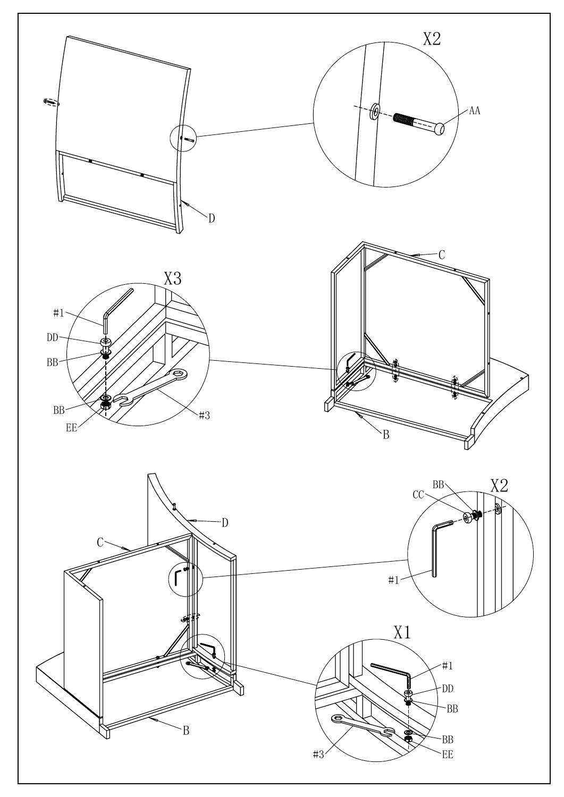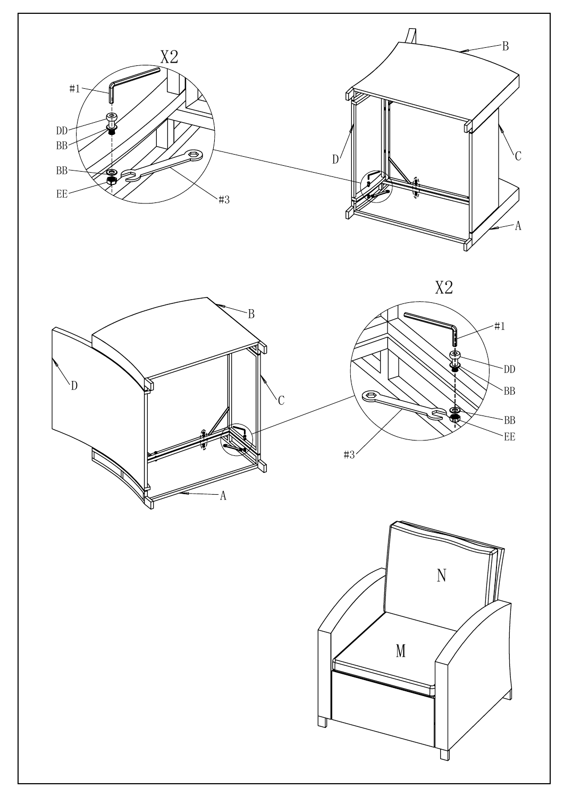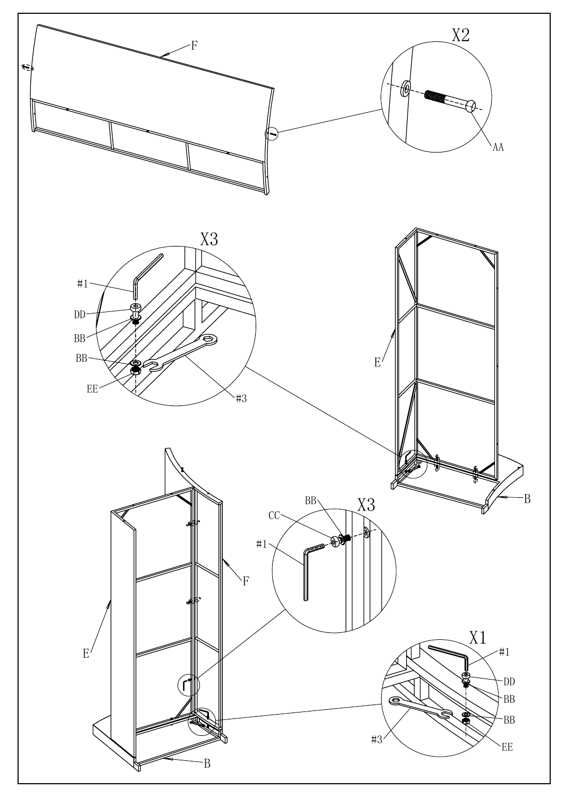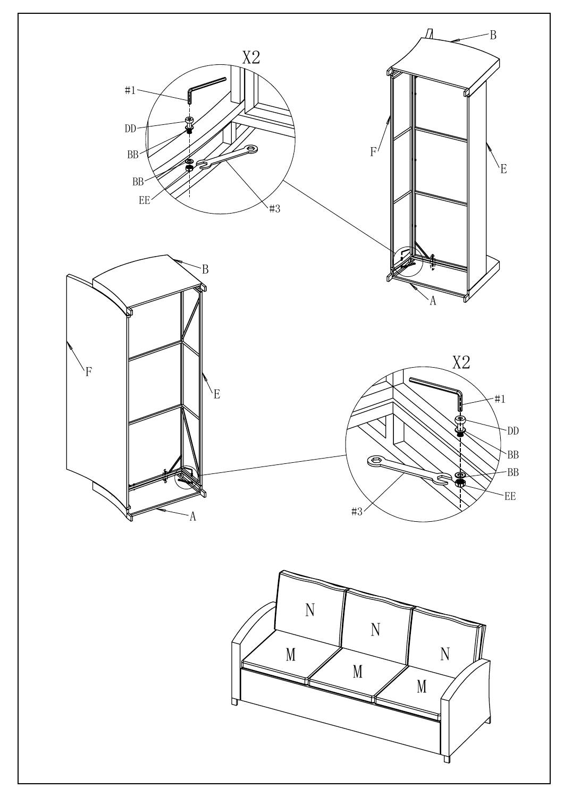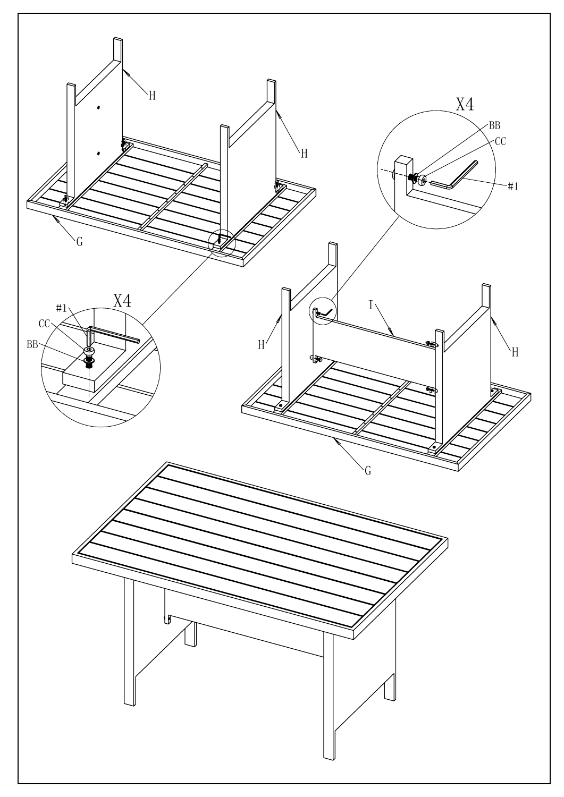